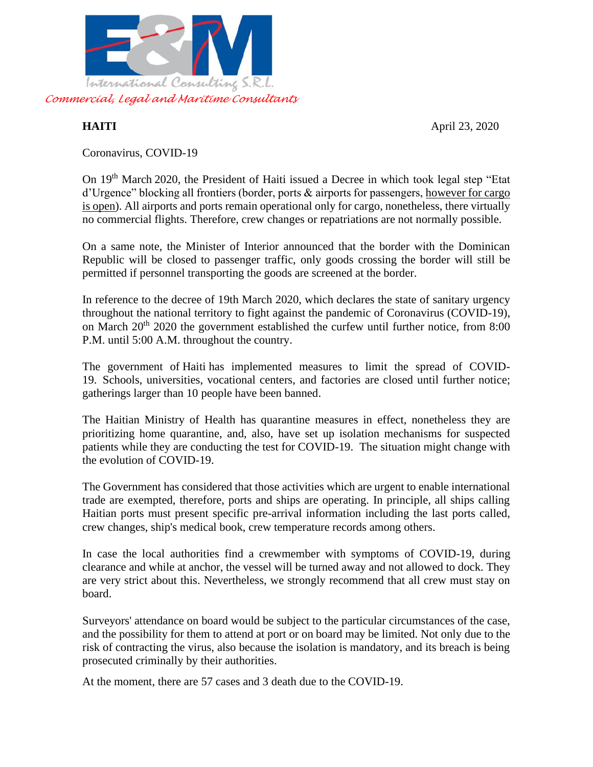

**HAITI** April 23, 2020

Coronavirus, COVID-19

On 19th March 2020, the President of Haiti issued a Decree in which took legal step "Etat d'Urgence" blocking all frontiers (border, ports & airports for passengers, however for cargo is open). All airports and ports remain operational only for cargo, nonetheless, there virtually no commercial flights. Therefore, crew changes or repatriations are not normally possible.

On a same note, the Minister of Interior announced that the border with the Dominican Republic will be closed to passenger traffic, only goods crossing the border will still be permitted if personnel transporting the goods are screened at the border.

In reference to the decree of 19th March 2020, which declares the state of sanitary urgency throughout the national territory to fight against the pandemic of Coronavirus (COVID-19), on March  $20^{th}$  2020 the government established the curfew until further notice, from 8:00 P.M. until 5:00 A.M. throughout the country.

The government of Haiti has implemented measures to limit the spread of COVID-19. Schools, universities, vocational centers, and factories are closed until further notice; gatherings larger than 10 people have been banned.

The Haitian Ministry of Health has quarantine measures in effect, nonetheless they are prioritizing home quarantine, and, also, have set up isolation mechanisms for suspected patients while they are conducting the test for COVID-19. The situation might change with the evolution of COVID-19.

The Government has considered that those activities which are urgent to enable international trade are exempted, therefore, ports and ships are operating. In principle, all ships calling Haitian ports must present specific pre-arrival information including the last ports called, crew changes, ship's medical book, crew temperature records among others.

In case the local authorities find a crewmember with symptoms of COVID-19, during clearance and while at anchor, the vessel will be turned away and not allowed to dock. They are very strict about this. Nevertheless, we strongly recommend that all crew must stay on board.

Surveyors' attendance on board would be subject to the particular circumstances of the case, and the possibility for them to attend at port or on board may be limited. Not only due to the risk of contracting the virus, also because the isolation is mandatory, and its breach is being prosecuted criminally by their authorities.

At the moment, there are 57 cases and 3 death due to the COVID-19.